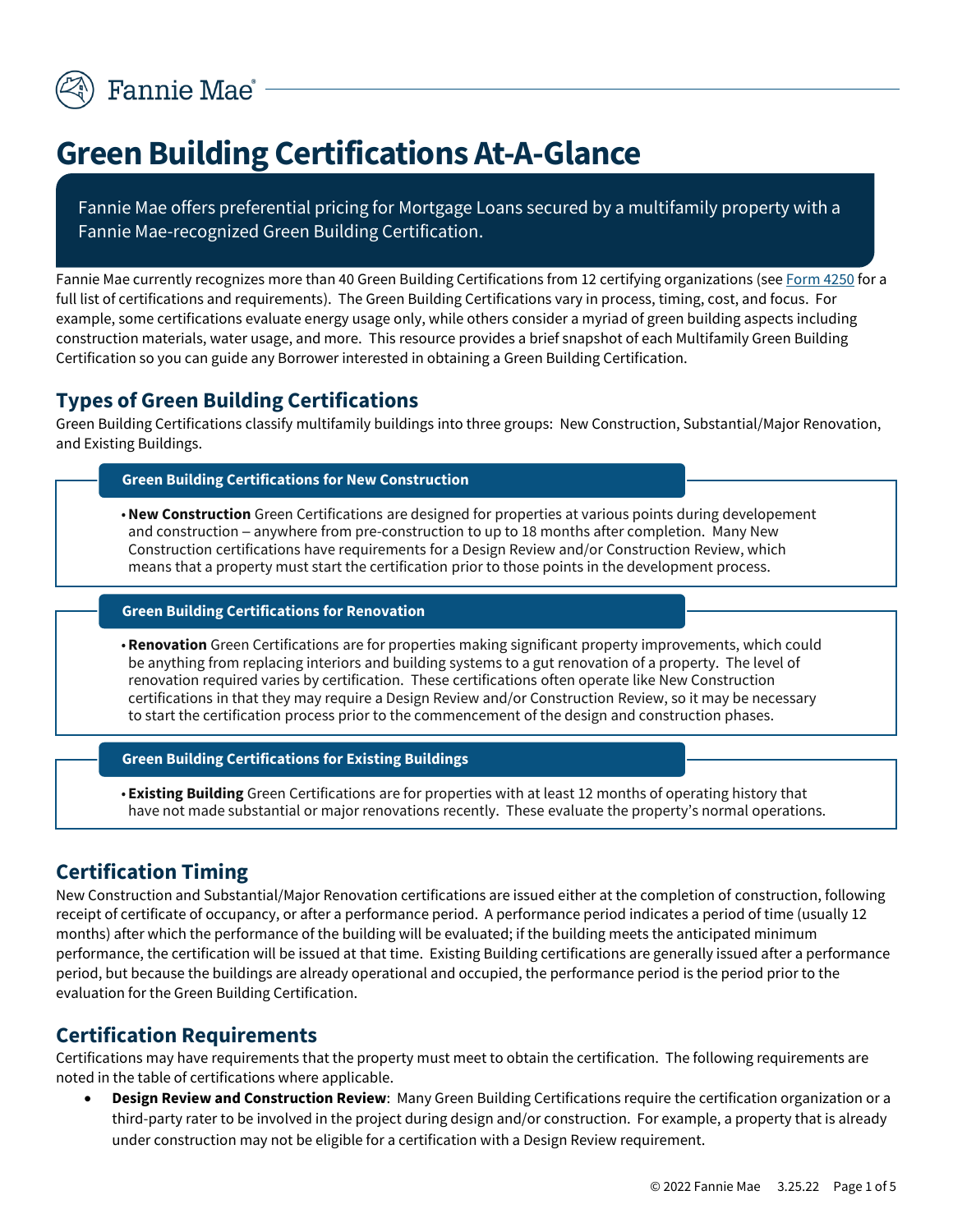

# **Green Building Certifications At-A-Glance**

Fannie Mae offers preferential pricing for Mortgage Loans secured by a multifamily property with a Fannie Mae-recognized Green Building Certification.

Fannie Mae currently recognizes more than 40 Green Building Certifications from 12 certifying organizations (se[e Form 4250](https://multifamily.fanniemae.com/media/document/pdf/form-4250) for a full list of certifications and requirements). The Green Building Certifications vary in process, timing, cost, and focus. For example, some certifications evaluate energy usage only, while others consider a myriad of green building aspects including construction materials, water usage, and more. This resource provides a brief snapshot of each Multifamily Green Building Certification so you can guide any Borrower interested in obtaining a Green Building Certification.

## **Types of Green Building Certifications**

Green Building Certifications classify multifamily buildings into three groups: New Construction, Substantial/Major Renovation, and Existing Buildings.

### **Green Building Certifications for New Construction**

•**New Construction** Green Certifications are designed for properties at various points during developement and construction - anywhere from pre-construction to up to 18 months after completion. Many New Construction certifications have requirements for a Design Review and/or Construction Review, which means that a property must start the certification prior to those points in the development process.

#### **Green Building Certifications for Renovation**

• **Renovation** Green Certifications are for properties making significant property improvements, which could be anything from replacing interiors and building systems to a gut renovation of a property. The level of renovation required varies by certification. These certifications often operate like New Construction certifications in that they may require a Design Review and/or Construction Review, so it may be necessary to start the certification process prior to the commencement of the design and construction phases.

#### **Green Building Certifications for Existing Buildings**

• **Existing Building** Green Certifications are for properties with at least 12 months of operating history that have not made substantial or major renovations recently. These evaluate the property's normal operations.

## **Certification Timing**

New Construction and Substantial/Major Renovation certifications are issued either at the completion of construction, following receipt of certificate of occupancy, or after a performance period. A performance period indicates a period of time (usually 12 months) after which the performance of the building will be evaluated; if the building meets the anticipated minimum performance, the certification will be issued at that time. Existing Building certifications are generally issued after a performance period, but because the buildings are already operational and occupied, the performance period is the period prior to the evaluation for the Green Building Certification.

## **Certification Requirements**

Certifications may have requirements that the property must meet to obtain the certification. The following requirements are noted in the table of certifications where applicable.

• **Design Review and Construction Review**: Many Green Building Certifications require the certification organization or a third-party rater to be involved in the project during design and/or construction. For example, a property that is already under construction may not be eligible for a certification with a Design Review requirement.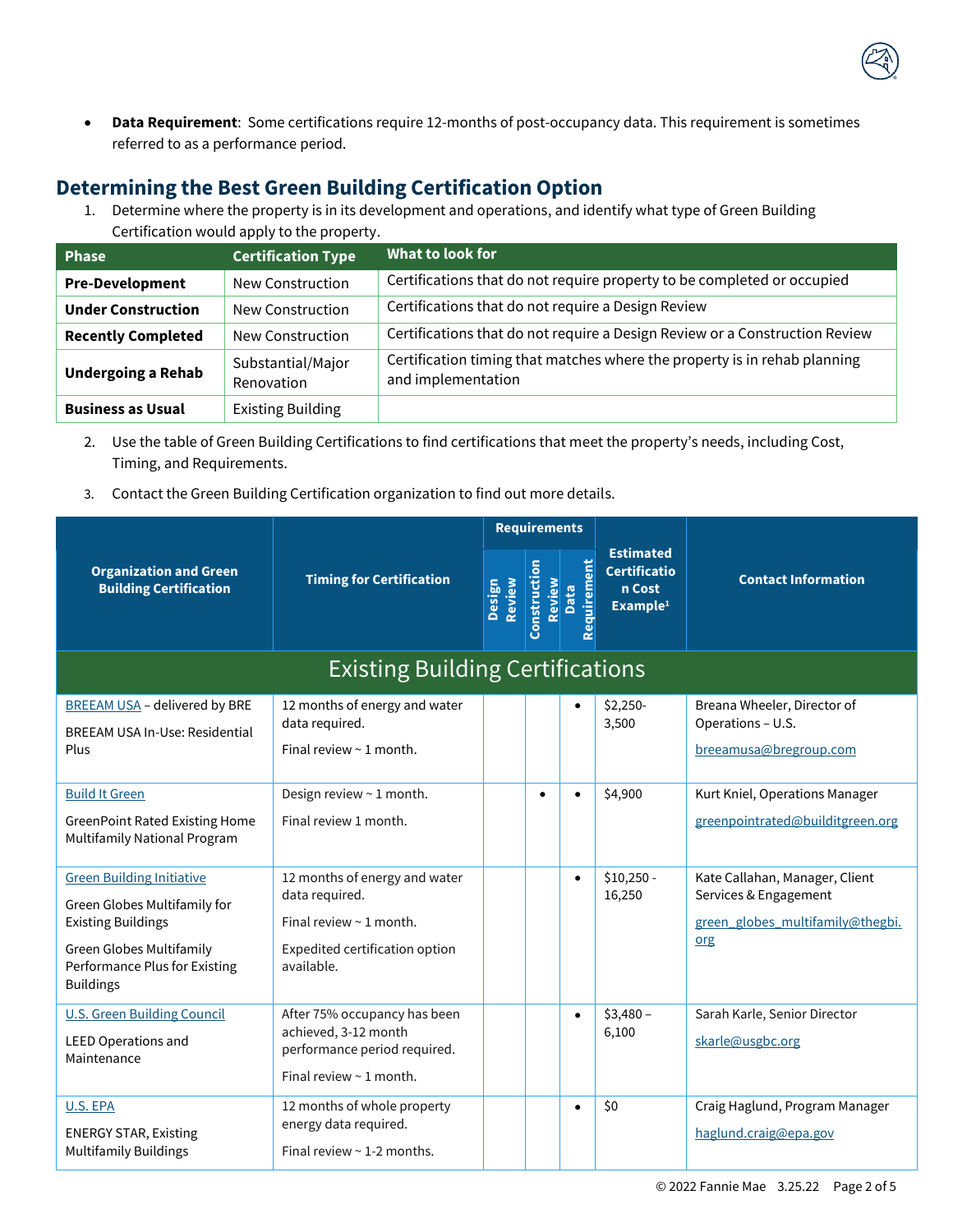

• **Data Requirement**: Some certifications require 12-months of post-occupancy data. This requirement is sometimes referred to as a performance period.

## **Determining the Best Green Building Certification Option**

1. Determine where the property is in its development and operations, and identify what type of Green Building Certification would apply to the property.

| <b>Phase</b>              | <b>Certification Type</b>       | What to look for                                                                                |
|---------------------------|---------------------------------|-------------------------------------------------------------------------------------------------|
| <b>Pre-Development</b>    | New Construction                | Certifications that do not require property to be completed or occupied                         |
| <b>Under Construction</b> | New Construction                | Certifications that do not require a Design Review                                              |
| <b>Recently Completed</b> | New Construction                | Certifications that do not require a Design Review or a Construction Review                     |
| <b>Undergoing a Rehab</b> | Substantial/Major<br>Renovation | Certification timing that matches where the property is in rehab planning<br>and implementation |
| <b>Business as Usual</b>  | <b>Existing Building</b>        |                                                                                                 |

- 2. Use the table of Green Building Certifications to find certifications that meet the property's needs, including Cost, Timing, and Requirements.
- 3. Contact the Green Building Certification organization to find out more details.

|                                                                                                                                                                                | <b>Timing for Certification</b>                                                                                            | <b>Requirements</b> |                        |                     |                                                                           |                                                                                                    |
|--------------------------------------------------------------------------------------------------------------------------------------------------------------------------------|----------------------------------------------------------------------------------------------------------------------------|---------------------|------------------------|---------------------|---------------------------------------------------------------------------|----------------------------------------------------------------------------------------------------|
| <b>Organization and Green</b><br><b>Building Certification</b>                                                                                                                 |                                                                                                                            | Review<br>Design    | Construction<br>Review | Requirement<br>Data | <b>Estimated</b><br><b>Certificatio</b><br>n Cost<br>Example <sup>1</sup> | <b>Contact Information</b>                                                                         |
| <b>Existing Building Certifications</b>                                                                                                                                        |                                                                                                                            |                     |                        |                     |                                                                           |                                                                                                    |
| <b>BREEAM USA - delivered by BRE</b><br><b>BREEAM USA In-Use: Residential</b><br>Plus                                                                                          | 12 months of energy and water<br>data required.<br>Final review $\sim$ 1 month.                                            |                     |                        |                     | $$2,250-$<br>3,500                                                        | Breana Wheeler, Director of<br>Operations - U.S.<br>breeamusa@bregroup.com                         |
| <b>Build It Green</b><br><b>GreenPoint Rated Existing Home</b><br>Multifamily National Program                                                                                 | Design review ~ 1 month.<br>Final review 1 month.                                                                          |                     |                        |                     | \$4,900                                                                   | Kurt Kniel, Operations Manager<br>greenpointrated@builditgreen.org                                 |
| <b>Green Building Initiative</b><br>Green Globes Multifamily for<br><b>Existing Buildings</b><br>Green Globes Multifamily<br>Performance Plus for Existing<br><b>Buildings</b> | 12 months of energy and water<br>data required.<br>Final review ~ 1 month.<br>Expedited certification option<br>available. |                     |                        | $\bullet$           | $$10,250 -$<br>16,250                                                     | Kate Callahan, Manager, Client<br>Services & Engagement<br>green globes multifamily@thegbi.<br>org |
| <b>U.S. Green Building Council</b><br><b>LEED Operations and</b><br>Maintenance                                                                                                | After 75% occupancy has been<br>achieved, 3-12 month<br>performance period required.<br>Final review $\sim$ 1 month.       |                     |                        | $\bullet$           | $$3,480-$<br>6,100                                                        | Sarah Karle, Senior Director<br>skarle@usgbc.org                                                   |
| U.S. EPA<br><b>ENERGY STAR, Existing</b><br><b>Multifamily Buildings</b>                                                                                                       | 12 months of whole property<br>energy data required.<br>Final review $\sim$ 1-2 months.                                    |                     |                        | $\bullet$           | \$0                                                                       | Craig Haglund, Program Manager<br>haglund.craig@epa.gov                                            |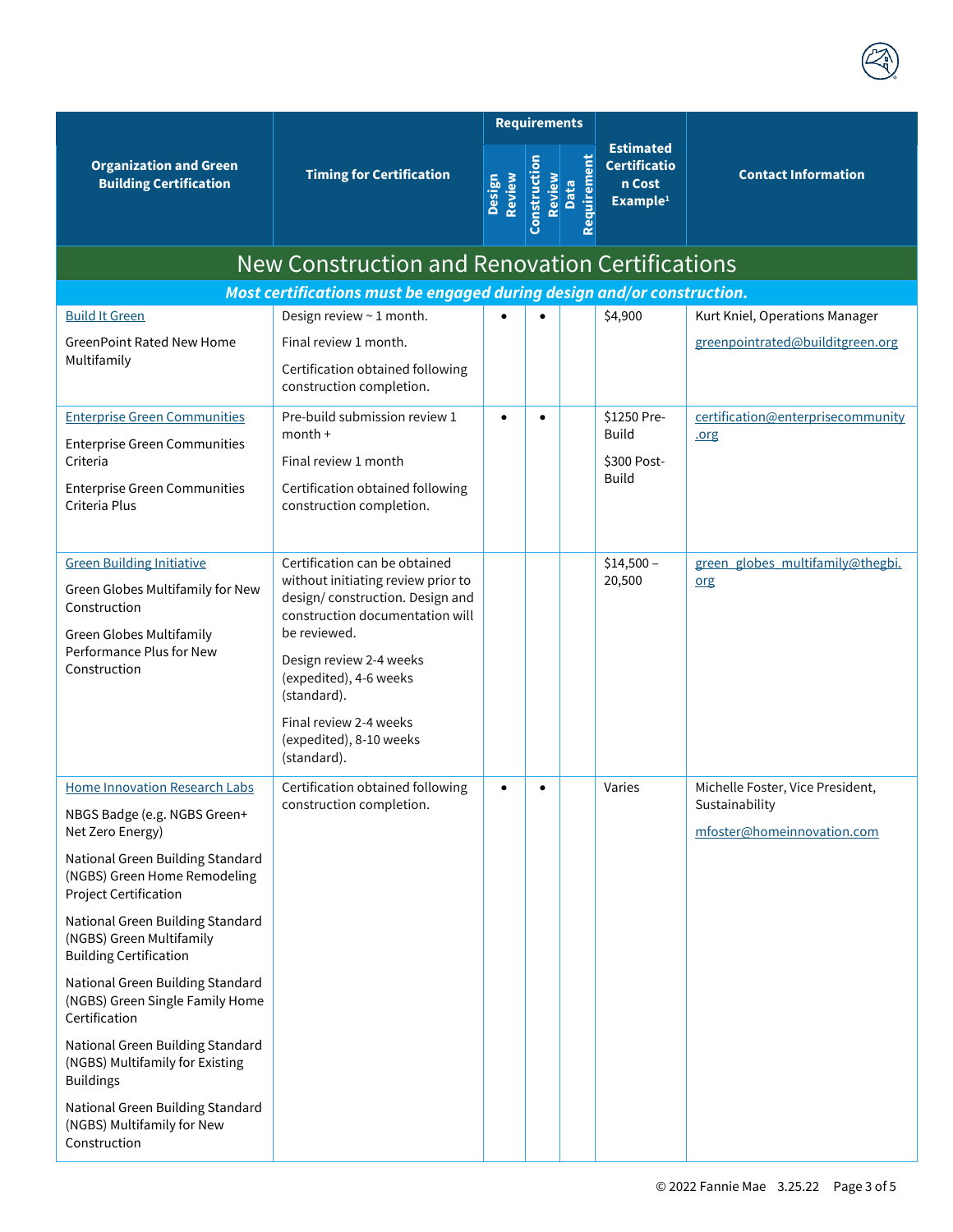|                                                                                                  |                                                                                                          |                  | <b>Requirements</b>    |                     |                                                                           |                                              |
|--------------------------------------------------------------------------------------------------|----------------------------------------------------------------------------------------------------------|------------------|------------------------|---------------------|---------------------------------------------------------------------------|----------------------------------------------|
| <b>Organization and Green</b><br><b>Building Certification</b>                                   | <b>Timing for Certification</b>                                                                          | Review<br>Design | Construction<br>Review | Requirement<br>Data | <b>Estimated</b><br><b>Certificatio</b><br>n Cost<br>Example <sup>1</sup> | <b>Contact Information</b>                   |
|                                                                                                  | New Construction and Renovation Certifications                                                           |                  |                        |                     |                                                                           |                                              |
|                                                                                                  | Most certifications must be engaged during design and/or construction.                                   |                  |                        |                     |                                                                           |                                              |
| <b>Build It Green</b>                                                                            | Design review ~ 1 month.                                                                                 |                  |                        |                     | \$4,900                                                                   | Kurt Kniel, Operations Manager               |
| <b>GreenPoint Rated New Home</b>                                                                 | Final review 1 month.                                                                                    |                  |                        |                     |                                                                           | greenpointrated@builditgreen.org             |
| Multifamily                                                                                      | Certification obtained following<br>construction completion.                                             |                  |                        |                     |                                                                           |                                              |
| <b>Enterprise Green Communities</b>                                                              | Pre-build submission review 1                                                                            | $\bullet$        | $\bullet$              |                     | \$1250 Pre-                                                               | certification@enterprisecommunity            |
| <b>Enterprise Green Communities</b>                                                              | $month +$                                                                                                |                  |                        |                     | <b>Build</b>                                                              | .org                                         |
| Criteria                                                                                         | Final review 1 month                                                                                     |                  |                        |                     | \$300 Post-<br><b>Build</b>                                               |                                              |
| <b>Enterprise Green Communities</b><br>Criteria Plus                                             | Certification obtained following<br>construction completion.                                             |                  |                        |                     |                                                                           |                                              |
| <b>Green Building Initiative</b>                                                                 | Certification can be obtained                                                                            |                  |                        |                     | $$14,500-$                                                                | green globes multifamily@thegbi.             |
| Green Globes Multifamily for New<br>Construction                                                 | without initiating review prior to<br>design/construction. Design and<br>construction documentation will |                  |                        |                     | 20,500                                                                    | org                                          |
| Green Globes Multifamily                                                                         | be reviewed.                                                                                             |                  |                        |                     |                                                                           |                                              |
| Performance Plus for New<br>Construction                                                         | Design review 2-4 weeks<br>(expedited), 4-6 weeks<br>(standard).                                         |                  |                        |                     |                                                                           |                                              |
|                                                                                                  | Final review 2-4 weeks<br>(expedited), 8-10 weeks<br>(standard).                                         |                  |                        |                     |                                                                           |                                              |
| <b>Home Innovation Research Labs</b>                                                             | Certification obtained following                                                                         |                  |                        |                     | Varies                                                                    | Michelle Foster, Vice President,             |
| NBGS Badge (e.g. NGBS Green+<br>Net Zero Energy)                                                 | construction completion.                                                                                 |                  |                        |                     |                                                                           | Sustainability<br>mfoster@homeinnovation.com |
| National Green Building Standard<br>(NGBS) Green Home Remodeling<br><b>Project Certification</b> |                                                                                                          |                  |                        |                     |                                                                           |                                              |
| National Green Building Standard<br>(NGBS) Green Multifamily<br><b>Building Certification</b>    |                                                                                                          |                  |                        |                     |                                                                           |                                              |
| National Green Building Standard<br>(NGBS) Green Single Family Home<br>Certification             |                                                                                                          |                  |                        |                     |                                                                           |                                              |
| National Green Building Standard<br>(NGBS) Multifamily for Existing<br><b>Buildings</b>          |                                                                                                          |                  |                        |                     |                                                                           |                                              |
| National Green Building Standard<br>(NGBS) Multifamily for New<br>Construction                   |                                                                                                          |                  |                        |                     |                                                                           |                                              |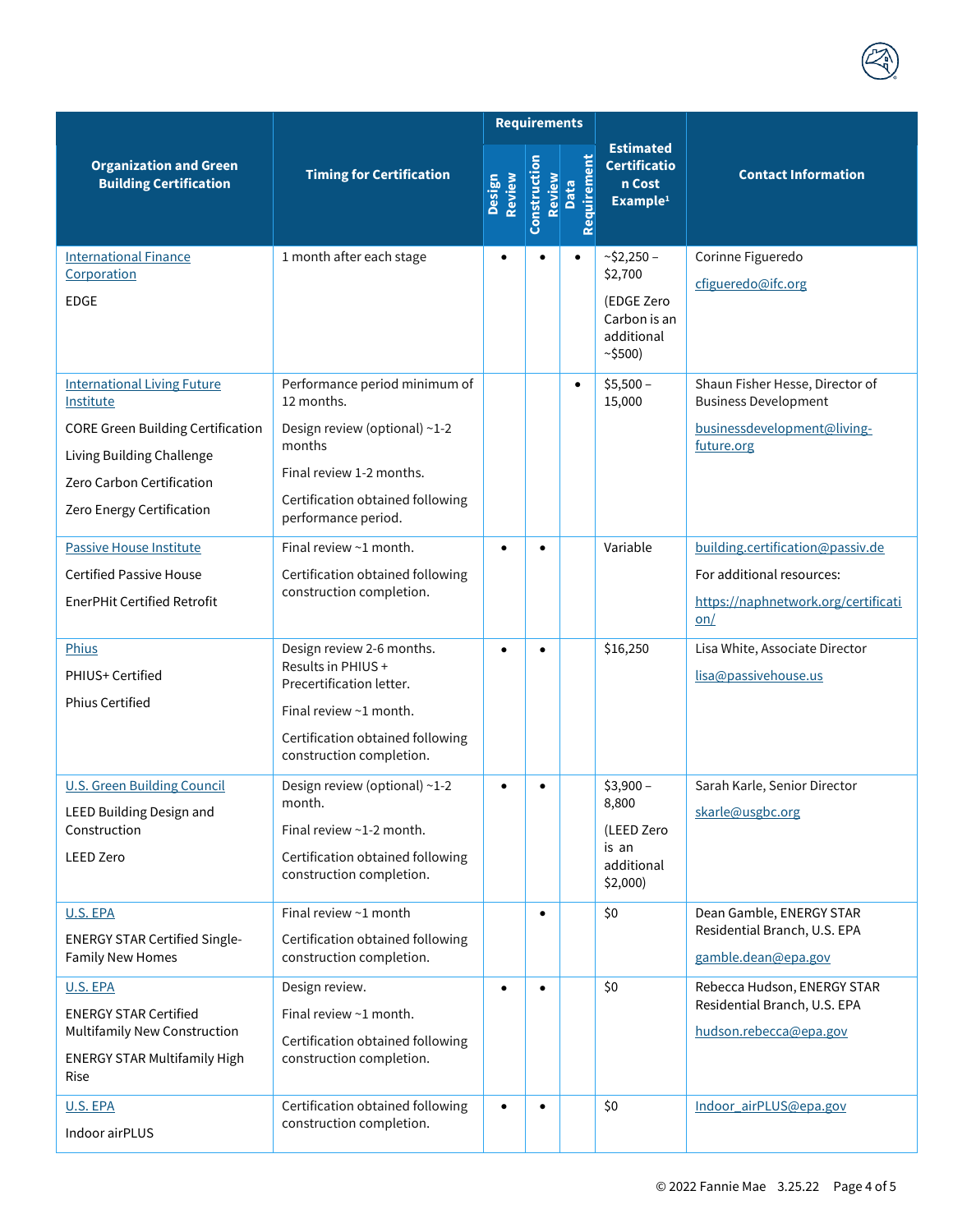|                                                                                                                                                                                    | <b>Timing for Certification</b>                                                                                                                                               | <b>Requirements</b> |                        |                     |                                                                             |                                                                                                               |
|------------------------------------------------------------------------------------------------------------------------------------------------------------------------------------|-------------------------------------------------------------------------------------------------------------------------------------------------------------------------------|---------------------|------------------------|---------------------|-----------------------------------------------------------------------------|---------------------------------------------------------------------------------------------------------------|
| <b>Organization and Green</b><br><b>Building Certification</b>                                                                                                                     |                                                                                                                                                                               | Review<br>Design    | Construction<br>Review | Requirement<br>Data | <b>Estimated</b><br><b>Certificatio</b><br>n Cost<br>Example <sup>1</sup>   | <b>Contact Information</b>                                                                                    |
| <b>International Finance</b><br>Corporation<br><b>EDGE</b>                                                                                                                         | 1 month after each stage                                                                                                                                                      | $\bullet$           | $\bullet$              | $\bullet$           | $~52,250-$<br>\$2,700<br>(EDGE Zero<br>Carbon is an<br>additional<br>~5500) | Corinne Figueredo<br>cfigueredo@ifc.org                                                                       |
| <b>International Living Future</b><br>Institute<br><b>CORE Green Building Certification</b><br>Living Building Challenge<br>Zero Carbon Certification<br>Zero Energy Certification | Performance period minimum of<br>12 months.<br>Design review (optional) ~1-2<br>months<br>Final review 1-2 months.<br>Certification obtained following<br>performance period. |                     |                        | $\bullet$           | $$5,500-$<br>15,000                                                         | Shaun Fisher Hesse, Director of<br><b>Business Development</b><br>businessdevelopment@living-<br>future.org   |
| <b>Passive House Institute</b><br><b>Certified Passive House</b><br><b>EnerPHit Certified Retrofit</b>                                                                             | Final review $\sim$ 1 month.<br>Certification obtained following<br>construction completion.                                                                                  |                     | $\bullet$              |                     | Variable                                                                    | building.certification@passiv.de<br>For additional resources:<br>https://naphnetwork.org/certificati<br>$on/$ |
| Phius<br>PHIUS+ Certified<br>Phius Certified                                                                                                                                       | Design review 2-6 months.<br>Results in PHIUS +<br>Precertification letter.<br>Final review $\sim$ 1 month.<br>Certification obtained following<br>construction completion.   | $\bullet$           | $\bullet$              |                     | \$16,250                                                                    | Lisa White, Associate Director<br>lisa@passivehouse.us                                                        |
| <b>U.S. Green Building Council</b><br>LEED Building Design and<br>Construction<br><b>LEED Zero</b>                                                                                 | Design review (optional) ~1-2<br>month.<br>Final review $\sim$ 1-2 month.<br>Certification obtained following<br>construction completion.                                     | $\bullet$           | $\bullet$              |                     | $$3,900-$<br>8,800<br>(LEED Zero<br>is an<br>additional<br>$$2,000$ )       | Sarah Karle, Senior Director<br>skarle@usgbc.org                                                              |
| U.S. EPA<br><b>ENERGY STAR Certified Single-</b><br><b>Family New Homes</b>                                                                                                        | Final review ~1 month<br>Certification obtained following<br>construction completion.                                                                                         |                     | $\bullet$              |                     | \$0                                                                         | Dean Gamble, ENERGY STAR<br>Residential Branch, U.S. EPA<br>gamble.dean@epa.gov                               |
| U.S. EPA<br><b>ENERGY STAR Certified</b><br><b>Multifamily New Construction</b><br><b>ENERGY STAR Multifamily High</b><br>Rise                                                     | Design review.<br>Final review $\sim$ 1 month.<br>Certification obtained following<br>construction completion.                                                                | $\bullet$           | $\bullet$              |                     | \$0                                                                         | Rebecca Hudson, ENERGY STAR<br>Residential Branch, U.S. EPA<br>hudson.rebecca@epa.gov                         |
| U.S. EPA<br>Indoor airPLUS                                                                                                                                                         | Certification obtained following<br>construction completion.                                                                                                                  | $\bullet$           | $\bullet$              |                     | \$0                                                                         | Indoor_airPLUS@epa.gov                                                                                        |